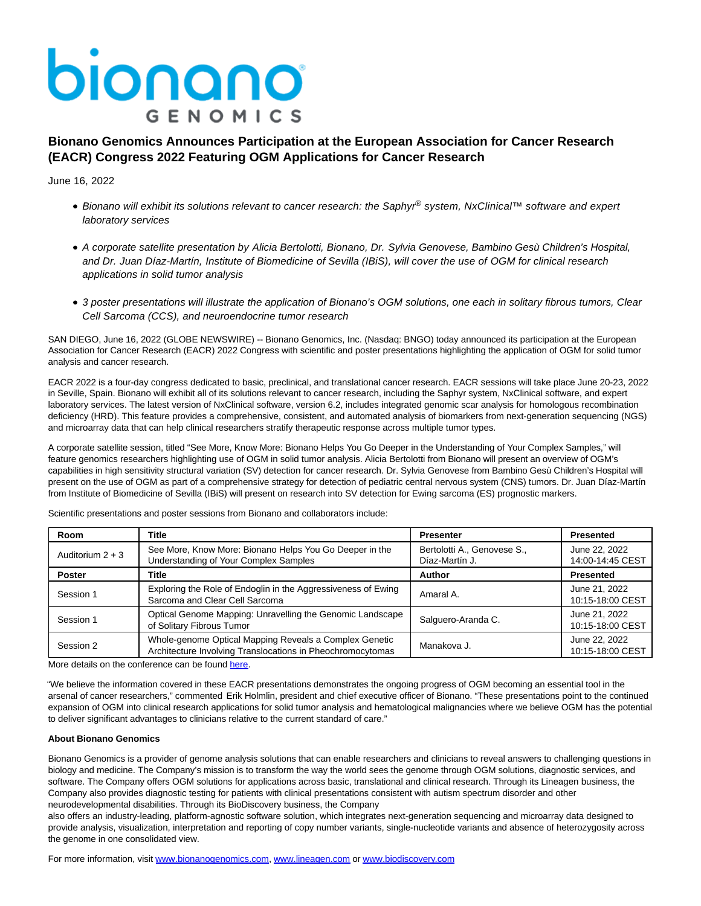# bionano **GENOMICS**

## **Bionano Genomics Announces Participation at the European Association for Cancer Research (EACR) Congress 2022 Featuring OGM Applications for Cancer Research**

June 16, 2022

- Bionano will exhibit its solutions relevant to cancer research: the Saphyr® system, NxClinical™ software and expert laboratory services
- A corporate satellite presentation by Alicia Bertolotti, Bionano, Dr. Sylvia Genovese, Bambino Gesù Children's Hospital, and Dr. Juan Díaz-Martín, Institute of Biomedicine of Sevilla (IBiS), will cover the use of OGM for clinical research applications in solid tumor analysis
- 3 poster presentations will illustrate the application of Bionano's OGM solutions, one each in solitary fibrous tumors, Clear Cell Sarcoma (CCS), and neuroendocrine tumor research

SAN DIEGO, June 16, 2022 (GLOBE NEWSWIRE) -- Bionano Genomics, Inc. (Nasdaq: BNGO) today announced its participation at the European Association for Cancer Research (EACR) 2022 Congress with scientific and poster presentations highlighting the application of OGM for solid tumor analysis and cancer research.

EACR 2022 is a four-day congress dedicated to basic, preclinical, and translational cancer research. EACR sessions will take place June 20-23, 2022 in Seville, Spain. Bionano will exhibit all of its solutions relevant to cancer research, including the Saphyr system, NxClinical software, and expert laboratory services. The latest version of NxClinical software, version 6.2, includes integrated genomic scar analysis for homologous recombination deficiency (HRD). This feature provides a comprehensive, consistent, and automated analysis of biomarkers from next-generation sequencing (NGS) and microarray data that can help clinical researchers stratify therapeutic response across multiple tumor types.

A corporate satellite session, titled "See More, Know More: Bionano Helps You Go Deeper in the Understanding of Your Complex Samples," will feature genomics researchers highlighting use of OGM in solid tumor analysis. Alicia Bertolotti from Bionano will present an overview of OGM's capabilities in high sensitivity structural variation (SV) detection for cancer research. Dr. Sylvia Genovese from Bambino Gesù Children's Hospital will present on the use of OGM as part of a comprehensive strategy for detection of pediatric central nervous system (CNS) tumors. Dr. Juan Díaz-Martín from Institute of Biomedicine of Sevilla (IBiS) will present on research into SV detection for Ewing sarcoma (ES) prognostic markers.

| Room               | Title                                                                                                                | <b>Presenter</b>                              | <b>Presented</b>                  |
|--------------------|----------------------------------------------------------------------------------------------------------------------|-----------------------------------------------|-----------------------------------|
| Auditorium $2 + 3$ | See More, Know More: Bionano Helps You Go Deeper in the<br>Understanding of Your Complex Samples                     | Bertolotti A., Genovese S.,<br>Díaz-Martín J. | June 22, 2022<br>14:00-14:45 CEST |
| <b>Poster</b>      | Title                                                                                                                | Author                                        | <b>Presented</b>                  |
| Session 1          | Exploring the Role of Endoglin in the Aggressiveness of Ewing<br>Sarcoma and Clear Cell Sarcoma                      | Amaral A.                                     | June 21, 2022<br>10:15-18:00 CEST |
| Session 1          | Optical Genome Mapping: Unravelling the Genomic Landscape<br>of Solitary Fibrous Tumor                               | Salguero-Aranda C.                            | June 21, 2022<br>10:15-18:00 CEST |
| Session 2          | Whole-genome Optical Mapping Reveals a Complex Genetic<br>Architecture Involving Translocations in Pheochromocytomas | Manakova J.                                   | June 22, 2022<br>10:15-18:00 CEST |

Scientific presentations and poster sessions from Bionano and collaborators include:

More details on the conference can be found [here.](https://www.globenewswire.com/Tracker?data=ImW0nbscnxk69SPg8iBfUhlENQlIcJw4j-bG6HHPQg0lnHlTJ7TpBUQOSR7Y1ussdlgc1_yi1RxpqFuimbyNdg==)

"We believe the information covered in these EACR presentations demonstrates the ongoing progress of OGM becoming an essential tool in the arsenal of cancer researchers," commented Erik Holmlin, president and chief executive officer of Bionano. "These presentations point to the continued expansion of OGM into clinical research applications for solid tumor analysis and hematological malignancies where we believe OGM has the potential to deliver significant advantages to clinicians relative to the current standard of care."

#### **About Bionano Genomics**

Bionano Genomics is a provider of genome analysis solutions that can enable researchers and clinicians to reveal answers to challenging questions in biology and medicine. The Company's mission is to transform the way the world sees the genome through OGM solutions, diagnostic services, and software. The Company offers OGM solutions for applications across basic, translational and clinical research. Through its Lineagen business, the Company also provides diagnostic testing for patients with clinical presentations consistent with autism spectrum disorder and other neurodevelopmental disabilities. Through its BioDiscovery business, the Company

also offers an industry-leading, platform-agnostic software solution, which integrates next-generation sequencing and microarray data designed to provide analysis, visualization, interpretation and reporting of copy number variants, single-nucleotide variants and absence of heterozygosity across the genome in one consolidated view.

For more information, visit [www.bionanogenomics.com,](http://www.bionanogenomics.com/) [www.lineagen.com o](http://www.lineagen.com/)[r www.biodiscovery.com](http://www.biodiscovery.com/)